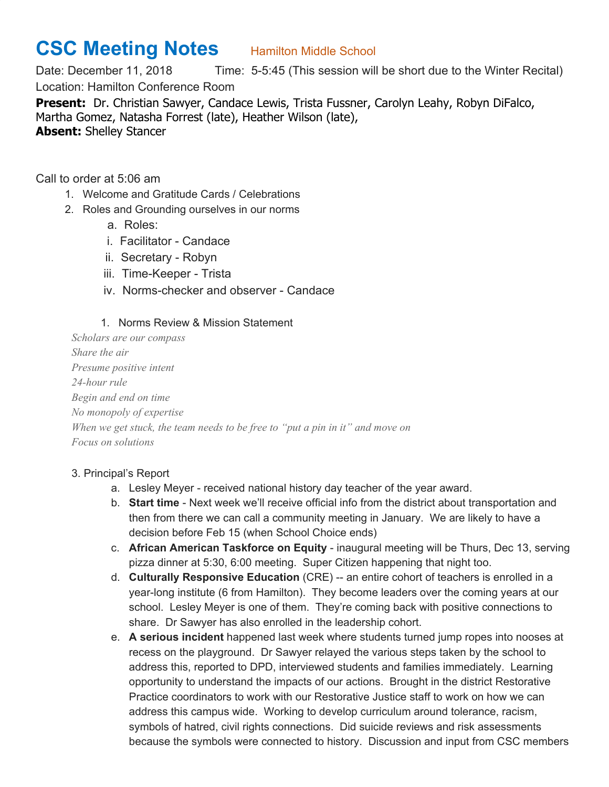## **CSC Meeting Notes** Hamilton Middle School

Date: December 11, 2018 Time: 5-5:45 (This session will be short due to the Winter Recital) Location: Hamilton Conference Room **Present:** Dr. Christian Sawyer, Candace Lewis, Trista Fussner, Carolyn Leahy, Robyn DiFalco, Martha Gomez, Natasha Forrest (late), Heather Wilson (late),

**Absent:** Shelley Stancer

Call to order at 5:06 am

- 1. Welcome and Gratitude Cards / Celebrations
- 2. Roles and Grounding ourselves in our norms
	- a. Roles:
	- i. Facilitator Candace
	- ii. Secretary Robyn
	- iii. Time-Keeper Trista
	- iv. Norms-checker and observer Candace
	- 1. Norms Review & Mission Statement

*Scholars are our compass Share the air Presume positive intent 24-hour rule Begin and end on time No monopoly of expertise When we get stuck, the team needs to be free to "put a pin in it" and move on Focus on solutions*

## 3. Principal's Report

- a. Lesley Meyer received national history day teacher of the year award.
- b. **Start time** Next week we'll receive official info from the district about transportation and then from there we can call a community meeting in January. We are likely to have a decision before Feb 15 (when School Choice ends)
- c. **African American Taskforce on Equity** inaugural meeting will be Thurs, Dec 13, serving pizza dinner at 5:30, 6:00 meeting. Super Citizen happening that night too.
- d. **Culturally Responsive Education** (CRE) -- an entire cohort of teachers is enrolled in a year-long institute (6 from Hamilton). They become leaders over the coming years at our school. Lesley Meyer is one of them. They're coming back with positive connections to share. Dr Sawyer has also enrolled in the leadership cohort.
- e. **A serious incident** happened last week where students turned jump ropes into nooses at recess on the playground. Dr Sawyer relayed the various steps taken by the school to address this, reported to DPD, interviewed students and families immediately. Learning opportunity to understand the impacts of our actions. Brought in the district Restorative Practice coordinators to work with our Restorative Justice staff to work on how we can address this campus wide. Working to develop curriculum around tolerance, racism, symbols of hatred, civil rights connections. Did suicide reviews and risk assessments because the symbols were connected to history. Discussion and input from CSC members